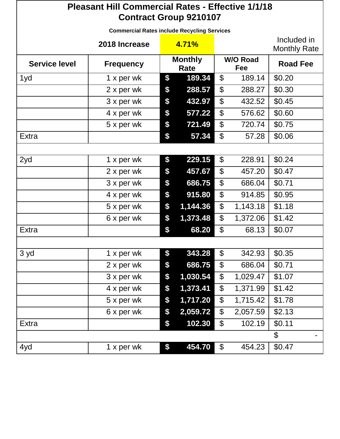| <b>Pleasant Hill Commercial Rates - Effective 1/1/18</b><br><b>Contract Group 9210107</b> |                                                    |                        |          |                            |          |                                    |  |  |
|-------------------------------------------------------------------------------------------|----------------------------------------------------|------------------------|----------|----------------------------|----------|------------------------------------|--|--|
|                                                                                           | <b>Commercial Rates include Recycling Services</b> |                        |          |                            |          |                                    |  |  |
| 2018 Increase                                                                             |                                                    |                        | 4.71%    |                            |          | Included in<br><b>Monthly Rate</b> |  |  |
| <b>Service level</b>                                                                      | <b>Frequency</b>                                   | <b>Monthly</b><br>Rate |          | <b>W/O Road</b><br>Fee     |          | <b>Road Fee</b>                    |  |  |
| 1yd                                                                                       | 1 x per wk                                         | \$                     | 189.34   | \$                         | 189.14   | \$0.20                             |  |  |
|                                                                                           | 2 x per wk                                         | \$                     | 288.57   | \$                         | 288.27   | \$0.30                             |  |  |
|                                                                                           | 3 x per wk                                         | \$                     | 432.97   | $\boldsymbol{\theta}$      | 432.52   | \$0.45                             |  |  |
|                                                                                           | 4 x per wk                                         | \$                     | 577.22   | \$                         | 576.62   | \$0.60                             |  |  |
|                                                                                           | 5 x per wk                                         | \$                     | 721.49   | $\boldsymbol{\theta}$      | 720.74   | \$0.75                             |  |  |
| Extra                                                                                     |                                                    | \$                     | 57.34    | $\boldsymbol{\mathsf{S}}$  | 57.28    | \$0.06                             |  |  |
|                                                                                           |                                                    |                        |          |                            |          |                                    |  |  |
| 2yd                                                                                       | 1 x per wk                                         | \$                     | 229.15   | $\boldsymbol{\mathcal{S}}$ | 228.91   | \$0.24                             |  |  |
|                                                                                           | 2 x per wk                                         | \$                     | 457.67   | $\boldsymbol{\mathcal{L}}$ | 457.20   | \$0.47                             |  |  |
|                                                                                           | 3 x per wk                                         | \$                     | 686.75   | \$                         | 686.04   | \$0.71                             |  |  |
|                                                                                           | 4 x per wk                                         | \$                     | 915.80   | $\boldsymbol{\theta}$      | 914.85   | \$0.95                             |  |  |
|                                                                                           | 5 x per wk                                         | \$                     | 1,144.36 | \$                         | 1,143.18 | \$1.18                             |  |  |
|                                                                                           | 6 x per wk                                         | \$                     | 1,373.48 | \$                         | 1,372.06 | \$1.42                             |  |  |
| <b>Extra</b>                                                                              |                                                    | \$                     | 68.20    | $\boldsymbol{\theta}$      | 68.13    | \$0.07                             |  |  |
|                                                                                           |                                                    |                        |          |                            |          |                                    |  |  |
| 3 yd                                                                                      | 1 x per wk                                         | \$                     | 343.28   | \$                         | 342.93   | \$0.35                             |  |  |
|                                                                                           | 2 x per wk                                         | \$                     | 686.75   | \$                         | 686.04   | \$0.71                             |  |  |
|                                                                                           | 3 x per wk                                         | \$                     | 1,030.54 | \$                         | 1,029.47 | \$1.07                             |  |  |
|                                                                                           | 4 x per wk                                         | \$                     | 1,373.41 | \$                         | 1,371.99 | \$1.42                             |  |  |
|                                                                                           | 5 x per wk                                         | \$                     | 1,717.20 | \$                         | 1,715.42 | \$1.78                             |  |  |
|                                                                                           | 6 x per wk                                         | \$                     | 2,059.72 | \$                         | 2,057.59 | \$2.13                             |  |  |
| Extra                                                                                     |                                                    | \$                     | 102.30   | $\boldsymbol{\theta}$      | 102.19   | \$0.11                             |  |  |
|                                                                                           |                                                    |                        |          |                            |          | $\mathfrak{S}$                     |  |  |
| 4yd                                                                                       | 1 x per wk                                         | \$                     | 454.70   | $\boldsymbol{\mathsf{S}}$  | 454.23   | \$0.47                             |  |  |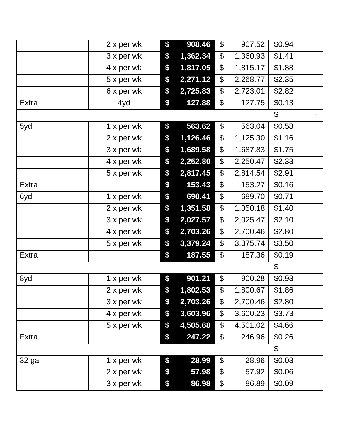|              | 2 x per wk | \$<br>908.46   | \$                        | 907.52   | \$0.94                    |
|--------------|------------|----------------|---------------------------|----------|---------------------------|
|              | 3 x per wk | \$<br>1,362.34 | \$                        | 1,360.93 | \$1.41                    |
|              | 4 x per wk | \$<br>1,817.05 | \$                        | 1,815.17 | \$1.88                    |
|              | 5 x per wk | \$<br>2,271.12 | \$                        | 2,268.77 | \$2.35                    |
|              | 6 x per wk | \$<br>2,725.83 | \$                        | 2,723.01 | \$2.82                    |
| <b>Extra</b> | 4yd        | \$<br>127.88   | \$                        | 127.75   | \$0.13                    |
|              |            |                |                           |          | $\boldsymbol{\mathsf{S}}$ |
| 5yd          | 1 x per wk | \$<br>563.62   | \$                        | 563.04   | \$0.58                    |
|              | 2 x per wk | \$<br>1,126.46 | \$                        | 1,125.30 | \$1.16                    |
|              | 3 x per wk | \$<br>1,689.58 | \$                        | 1,687.83 | \$1.75                    |
|              | 4 x per wk | \$<br>2,252.80 | \$                        | 2,250.47 | \$2.33                    |
|              | 5 x per wk | \$<br>2,817.45 | \$                        | 2,814.54 | \$2.91                    |
| Extra        |            | \$<br>153.43   | \$                        | 153.27   | \$0.16                    |
| 6yd          | 1 x per wk | \$<br>690.41   | \$                        | 689.70   | \$0.71                    |
|              | 2 x per wk | \$<br>1,351.58 | \$                        | 1,350.18 | \$1.40                    |
|              | 3 x per wk | \$<br>2,027.57 | \$                        | 2,025.47 | \$2.10                    |
|              | 4 x per wk | \$<br>2,703.26 | $\boldsymbol{\mathsf{S}}$ | 2,700.46 | \$2.80                    |
|              | 5 x per wk | \$<br>3,379.24 | \$                        | 3,375.74 | \$3.50                    |
| <b>Extra</b> |            | \$<br>187.55   | \$                        | 187.36   | \$0.19                    |
|              |            |                |                           |          | \$                        |
| 8yd          | 1 x per wk | \$<br>901.21   | \$                        | 900.28   | \$0.93                    |
|              | 2 x per wk | \$<br>1,802.53 | \$                        | 1,800.67 | \$1.86                    |
|              | 3 x per wk | \$<br>2,703.26 | \$                        | 2,700.46 | \$2.80                    |
|              | 4 x per wk | \$<br>3,603.96 | \$                        | 3,600.23 | \$3.73                    |
|              | 5 x per wk | \$<br>4,505.68 | \$                        | 4,501.02 | \$4.66                    |
| Extra        |            | \$<br>247.22   | \$                        | 246.96   | \$0.26                    |
|              |            |                |                           |          | \$                        |
| 32 gal       | 1 x per wk | \$<br>28.99    | \$                        | 28.96    | \$0.03                    |
|              | 2 x per wk | \$<br>57.98    | \$                        | 57.92    | \$0.06                    |
|              | 3 x per wk | \$<br>86.98    | \$                        | 86.89    | \$0.09                    |